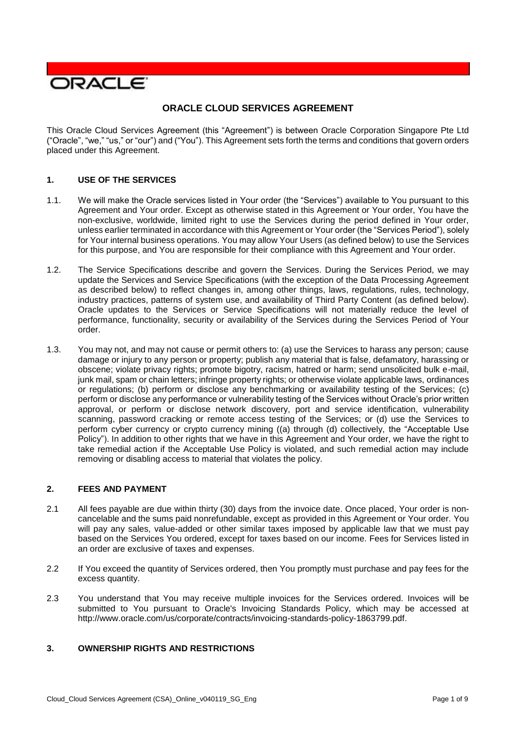

# **ORACLE CLOUD SERVICES AGREEMENT**

 This Oracle Cloud Services Agreement (this "Agreement") is between Oracle Corporation Singapore Pte Ltd ("Oracle", "we," "us," or "our") and ("You"). This Agreement sets forth the terms and conditions that govern orders placed under this Agreement.

## **1. USE OF THE SERVICES**

- 1.1. We will make the Oracle services listed in Your order (the "Services") available to You pursuant to this Agreement and Your order. Except as otherwise stated in this Agreement or Your order, You have the non-exclusive, worldwide, limited right to use the Services during the period defined in Your order, unless earlier terminated in accordance with this Agreement or Your order (the "Services Period"), solely for Your internal business operations. You may allow Your Users (as defined below) to use the Services for this purpose, and You are responsible for their compliance with this Agreement and Your order.
- 1.2. The Service Specifications describe and govern the Services. During the Services Period, we may update the Services and Service Specifications (with the exception of the Data Processing Agreement industry practices, patterns of system use, and availability of Third Party Content (as defined below). Oracle updates to the Services or Service Specifications will not materially reduce the level of performance, functionality, security or availability of the Services during the Services Period of Your as described below) to reflect changes in, among other things, laws, regulations, rules, technology, order.
- 1.3. You may not, and may not cause or permit others to: (a) use the Services to harass any person; cause damage or injury to any person or property; publish any material that is false, defamatory, harassing or obscene; violate privacy rights; promote bigotry, racism, hatred or harm; send unsolicited bulk e-mail, junk mail, spam or chain letters; infringe property rights; or otherwise violate applicable laws, ordinances or regulations; (b) perform or disclose any benchmarking or availability testing of the Services; (c) perform or disclose any performance or vulnerability testing of the Services without Oracle's prior written approval, or perform or disclose network discovery, port and service identification, vulnerability scanning, password cracking or remote access testing of the Services; or (d) use the Services to perform cyber currency or crypto currency mining ((a) through (d) collectively, the "Acceptable Use Policy"). In addition to other rights that we have in this Agreement and Your order, we have the right to take remedial action if the Acceptable Use Policy is violated, and such remedial action may include removing or disabling access to material that violates the policy.

## **2. FEES AND PAYMENT**

- 2.1 All fees payable are due within thirty (30) days from the invoice date. Once placed, Your order is non- cancelable and the sums paid nonrefundable, except as provided in this Agreement or Your order. You will pay any sales, value-added or other similar taxes imposed by applicable law that we must pay based on the Services You ordered, except for taxes based on our income. Fees for Services listed in an order are exclusive of taxes and expenses.
- 2.2 If You exceed the quantity of Services ordered, then You promptly must purchase and pay fees for the excess quantity.
- 2.3 You understand that You may receive multiple invoices for the Services ordered. Invoices will be submitted to You pursuant to Oracle's Invoicing Standards Policy, which may be accessed at [http://www.oracle.com/us/corporate/contracts/invoicing-standards-policy-1863799.pdf.](http://www.oracle.com/us/corporate/contracts/invoicing-standards-policy-1863799.pdf)

## **3. OWNERSHIP RIGHTS AND RESTRICTIONS**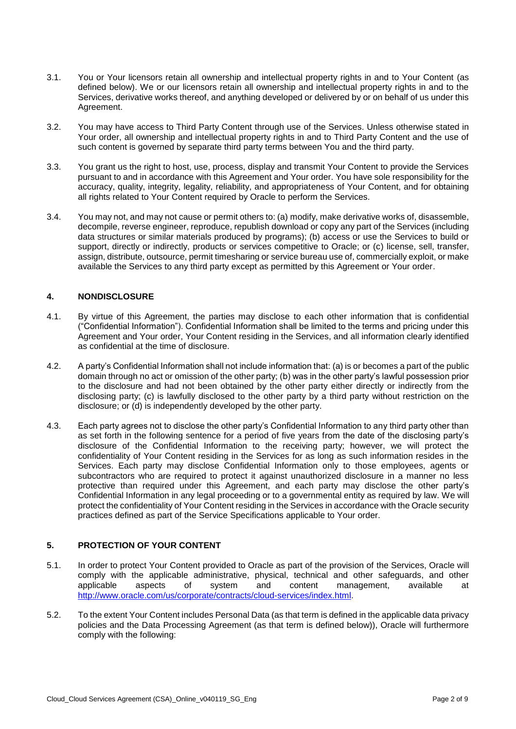- 3.1. You or Your licensors retain all ownership and intellectual property rights in and to Your Content (as defined below). We or our licensors retain all ownership and intellectual property rights in and to the Services, derivative works thereof, and anything developed or delivered by or on behalf of us under this Agreement.
- 3.2. You may have access to Third Party Content through use of the Services. Unless otherwise stated in Your order, all ownership and intellectual property rights in and to Third Party Content and the use of such content is governed by separate third party terms between You and the third party.
- 3.3. You grant us the right to host, use, process, display and transmit Your Content to provide the Services accuracy, quality, integrity, legality, reliability, and appropriateness of Your Content, and for obtaining pursuant to and in accordance with this Agreement and Your order. You have sole responsibility for the all rights related to Your Content required by Oracle to perform the Services.
- 3.4. You may not, and may not cause or permit others to: (a) modify, make derivative works of, disassemble, decompile, reverse engineer, reproduce, republish download or copy any part of the Services (including data structures or similar materials produced by programs); (b) access or use the Services to build or support, directly or indirectly, products or services competitive to Oracle; or (c) license, sell, transfer, available the Services to any third party except as permitted by this Agreement or Your order. assign, distribute, outsource, permit timesharing or service bureau use of, commercially exploit, or make

## **4. NONDISCLOSURE**

- 4.1. By virtue of this Agreement, the parties may disclose to each other information that is confidential Agreement and Your order, Your Content residing in the Services, and all information clearly identified ("Confidential Information"). Confidential Information shall be limited to the terms and pricing under this as confidential at the time of disclosure.
- 4.2. A party's Confidential Information shall not include information that: (a) is or becomes a part of the public domain through no act or omission of the other party; (b) was in the other party's lawful possession prior to the disclosure and had not been obtained by the other party either directly or indirectly from the disclosing party; (c) is lawfully disclosed to the other party by a third party without restriction on the disclosure; or (d) is independently developed by the other party.
- 4.3. Each party agrees not to disclose the other party's Confidential Information to any third party other than as set forth in the following sentence for a period of five years from the date of the disclosing party's disclosure of the Confidential Information to the receiving party; however, we will protect the confidentiality of Your Content residing in the Services for as long as such information resides in the Services. Each party may disclose Confidential Information only to those employees, agents or subcontractors who are required to protect it against unauthorized disclosure in a manner no less protective than required under this Agreement, and each party may disclose the other party's Confidential Information in any legal proceeding or to a governmental entity as required by law. We will protect the confidentiality of Your Content residing in the Services in accordance with the Oracle security practices defined as part of the Service Specifications applicable to Your order.

# **5. PROTECTION OF YOUR CONTENT**

- 5.1. In order to protect Your Content provided to Oracle as part of the provision of the Services, Oracle will comply with the applicable administrative, physical, technical and other safeguards, and other aspects applicable aspects of system and content management, available at [http://www.oracle.com/us/corporate/contracts/cloud-services/index.html.](http://www.oracle.com/us/corporate/contracts/cloud-services/index.html)
- 5.2. To the extent Your Content includes Personal Data (as that term is defined in the applicable data privacy policies and the Data Processing Agreement (as that term is defined below)), Oracle will furthermore comply with the following: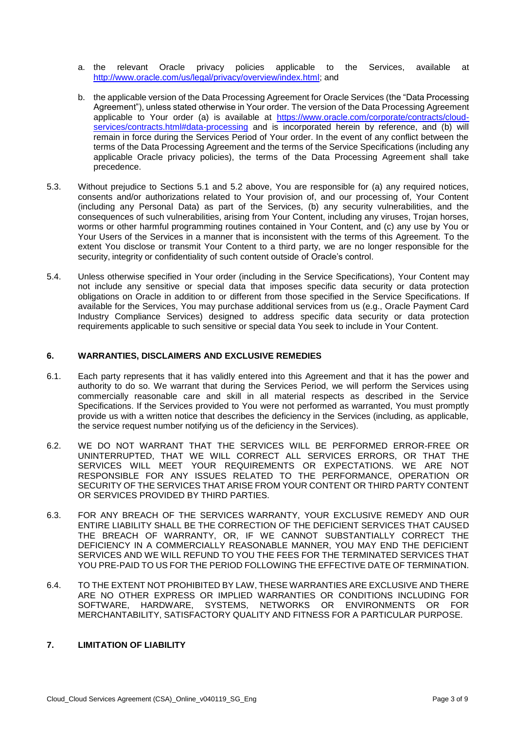- a. the relevant Oracle privacy policies applicable to [http://www.oracle.com/us/legal/privacy/overview/index.html;](http://www.oracle.com/us/legal/privacy/overview/index.html) and Services, available at
- b. the applicable version of the Data Processing Agreement for Oracle Services (the "Data Processing Agreement"), unless stated otherwise in Your order. The version of the Data Processing Agreement applicable to Your order (a) is available at [https://www.oracle.com/corporate/contracts/cloud](https://www.oracle.com/corporate/contracts/cloud-services/contracts.html#data-processing)[services/contracts.html#data-processing](https://www.oracle.com/corporate/contracts/cloud-services/contracts.html#data-processing) and is incorporated herein by reference, and (b) will remain in force during the Services Period of Your order. In the event of any conflict between the terms of the Data Processing Agreement and the terms of the Service Specifications (including any applicable Oracle privacy policies), the terms of the Data Processing Agreement shall take precedence.
- 5.3. Without prejudice to Sections 5.1 and 5.2 above, You are responsible for (a) any required notices, consents and/or authorizations related to Your provision of, and our processing of, Your Content (including any Personal Data) as part of the Services, (b) any security vulnerabilities, and the consequences of such vulnerabilities, arising from Your Content, including any viruses, Trojan horses, worms or other harmful programming routines contained in Your Content, and (c) any use by You or Your Users of the Services in a manner that is inconsistent with the terms of this Agreement. To the extent You disclose or transmit Your Content to a third party, we are no longer responsible for the security, integrity or confidentiality of such content outside of Oracle's control.
- 5.4. Unless otherwise specified in Your order (including in the Service Specifications), Your Content may not include any sensitive or special data that imposes specific data security or data protection obligations on Oracle in addition to or different from those specified in the Service Specifications. If available for the Services, You may purchase additional services from us (e.g., Oracle Payment Card Industry Compliance Services) designed to address specific data security or data protection requirements applicable to such sensitive or special data You seek to include in Your Content.

### **6. WARRANTIES, DISCLAIMERS AND EXCLUSIVE REMEDIES**

- 6.1. Each party represents that it has validly entered into this Agreement and that it has the power and authority to do so. We warrant that during the Services Period, we will perform the Services using commercially reasonable care and skill in all material respects as described in the Service Specifications. If the Services provided to You were not performed as warranted, You must promptly provide us with a written notice that describes the deficiency in the Services (including, as applicable, the service request number notifying us of the deficiency in the Services).
- 6.2. WE DO NOT WARRANT THAT THE SERVICES WILL BE PERFORMED ERROR-FREE OR UNINTERRUPTED, THAT WE WILL CORRECT ALL SERVICES ERRORS, OR THAT THE SERVICES WILL MEET YOUR REQUIREMENTS OR EXPECTATIONS. WE ARE NOT RESPONSIBLE FOR ANY ISSUES RELATED TO THE PERFORMANCE, OPERATION OR SECURITY OF THE SERVICES THAT ARISE FROM YOUR CONTENT OR THIRD PARTY CONTENT OR SERVICES PROVIDED BY THIRD PARTIES.
- 6.3. FOR ANY BREACH OF THE SERVICES WARRANTY, YOUR EXCLUSIVE REMEDY AND OUR ENTIRE LIABILITY SHALL BE THE CORRECTION OF THE DEFICIENT SERVICES THAT CAUSED THE BREACH OF WARRANTY, OR, IF WE CANNOT SUBSTANTIALLY CORRECT THE DEFICIENCY IN A COMMERCIALLY REASONABLE MANNER, YOU MAY END THE DEFICIENT SERVICES AND WE WILL REFUND TO YOU THE FEES FOR THE TERMINATED SERVICES THAT YOU PRE-PAID TO US FOR THE PERIOD FOLLOWING THE EFFECTIVE DATE OF TERMINATION.
- 6.4. TO THE EXTENT NOT PROHIBITED BY LAW, THESE WARRANTIES ARE EXCLUSIVE AND THERE ARE NO OTHER EXPRESS OR IMPLIED WARRANTIES OR CONDITIONS INCLUDING FOR SOFTWARE, HARDWARE, SYSTEMS, NETWORKS OR ENVIRONMENTS OR FOR MERCHANTABILITY, SATISFACTORY QUALITY AND FITNESS FOR A PARTICULAR PURPOSE.

## **7. LIMITATION OF LIABILITY**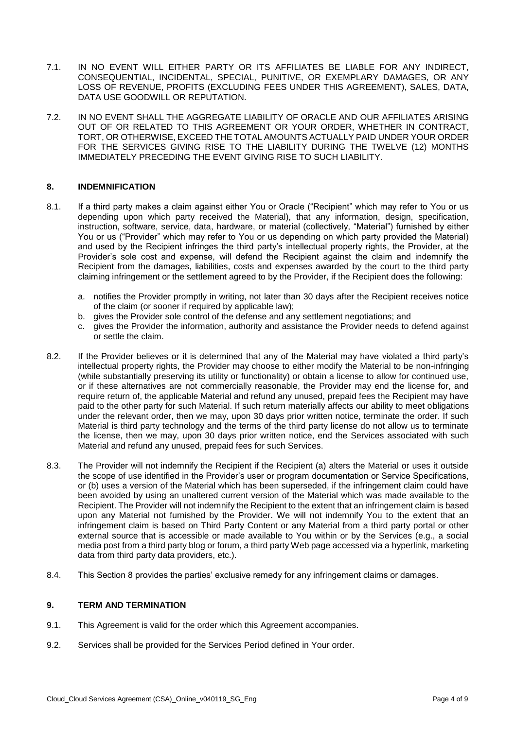- 7.1. IN NO EVENT WILL EITHER PARTY OR ITS AFFILIATES BE LIABLE FOR ANY INDIRECT, LOSS OF REVENUE, PROFITS (EXCLUDING FEES UNDER THIS AGREEMENT), SALES, DATA, CONSEQUENTIAL, INCIDENTAL, SPECIAL, PUNITIVE, OR EXEMPLARY DAMAGES, OR ANY DATA USE GOODWILL OR REPUTATION.
- 7.2. IN NO EVENT SHALL THE AGGREGATE LIABILITY OF ORACLE AND OUR AFFILIATES ARISING OUT OF OR RELATED TO THIS AGREEMENT OR YOUR ORDER, WHETHER IN CONTRACT, FOR THE SERVICES GIVING RISE TO THE LIABILITY DURING THE TWELVE (12) MONTHS TORT, OR OTHERWISE, EXCEED THE TOTAL AMOUNTS ACTUALLY PAID UNDER YOUR ORDER IMMEDIATELY PRECEDING THE EVENT GIVING RISE TO SUCH LIABILITY.

### **8. INDEMNIFICATION**

- 8.1. If a third party makes a claim against either You or Oracle ("Recipient" which may refer to You or us depending upon which party received the Material), that any information, design, specification, instruction, software, service, data, hardware, or material (collectively, "Material") furnished by either You or us ("Provider" which may refer to You or us depending on which party provided the Material) and used by the Recipient infringes the third party's intellectual property rights, the Provider, at the Provider's sole cost and expense, will defend the Recipient against the claim and indemnify the Recipient from the damages, liabilities, costs and expenses awarded by the court to the third party claiming infringement or the settlement agreed to by the Provider, if the Recipient does the following:
	- a. notifies the Provider promptly in writing, not later than 30 days after the Recipient receives notice of the claim (or sooner if required by applicable law);
	- b. gives the Provider sole control of the defense and any settlement negotiations; and
	- c. gives the Provider the information, authority and assistance the Provider needs to defend against or settle the claim.
- 8.2. If the Provider believes or it is determined that any of the Material may have violated a third party's intellectual property rights, the Provider may choose to either modify the Material to be non-infringing (while substantially preserving its utility or functionality) or obtain a license to allow for continued use, or if these alternatives are not commercially reasonable, the Provider may end the license for, and require return of, the applicable Material and refund any unused, prepaid fees the Recipient may have paid to the other party for such Material. If such return materially affects our ability to meet obligations under the relevant order, then we may, upon 30 days prior written notice, terminate the order. If such Material is third party technology and the terms of the third party license do not allow us to terminate the license, then we may, upon 30 days prior written notice, end the Services associated with such Material and refund any unused, prepaid fees for such Services.
- 8.3. The Provider will not indemnify the Recipient if the Recipient (a) alters the Material or uses it outside the scope of use identified in the Provider's user or program documentation or Service Specifications, or (b) uses a version of the Material which has been superseded, if the infringement claim could have been avoided by using an unaltered current version of the Material which was made available to the Recipient. The Provider will not indemnify the Recipient to the extent that an infringement claim is based upon any Material not furnished by the Provider. We will not indemnify You to the extent that an infringement claim is based on Third Party Content or any Material from a third party portal or other external source that is accessible or made available to You within or by the Services (e.g., a social media post from a third party blog or forum, a third party Web page accessed via a hyperlink, marketing data from third party data providers, etc.).
- 8.4. This Section 8 provides the parties' exclusive remedy for any infringement claims or damages.

#### **9. TERM AND TERMINATION**

- 9.1. This Agreement is valid for the order which this Agreement accompanies.
- 9.2. Services shall be provided for the Services Period defined in Your order.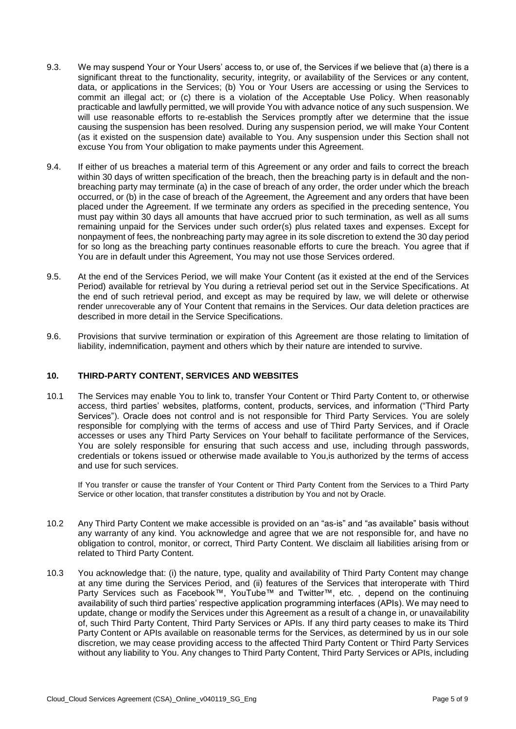- 9.3. We may suspend Your or Your Users' access to, or use of, the Services if we believe that (a) there is a significant threat to the functionality, security, integrity, or availability of the Services or any content, data, or applications in the Services; (b) You or Your Users are accessing or using the Services to commit an illegal act; or (c) there is a violation of the Acceptable Use Policy. When reasonably practicable and lawfully permitted, we will provide You with advance notice of any such suspension. We will use reasonable efforts to re-establish the Services promptly after we determine that the issue causing the suspension has been resolved. During any suspension period, we will make Your Content (as it existed on the suspension date) available to You. Any suspension under this Section shall not excuse You from Your obligation to make payments under this Agreement.
- 9.4. If either of us breaches a material term of this Agreement or any order and fails to correct the breach breaching party may terminate (a) in the case of breach of any order, the order under which the breach occurred, or (b) in the case of breach of the Agreement, the Agreement and any orders that have been placed under the Agreement. If we terminate any orders as specified in the preceding sentence, You must pay within 30 days all amounts that have accrued prior to such termination, as well as all sums remaining unpaid for the Services under such order(s) plus related taxes and expenses. Except for nonpayment of fees, the nonbreaching party may agree in its sole discretion to extend the 30 day period for so long as the breaching party continues reasonable efforts to cure the breach. You agree that if within 30 days of written specification of the breach, then the breaching party is in default and the non-You are in default under this Agreement, You may not use those Services ordered.
- 9.5. At the end of the Services Period, we will make Your Content (as it existed at the end of the Services Period) available for retrieval by You during a retrieval period set out in the Service Specifications. At the end of such retrieval period, and except as may be required by law, we will delete or otherwise render unrecoverable any of Your Content that remains in the Services. Our data deletion practices are described in more detail in the Service Specifications.
- 9.6. Provisions that survive termination or expiration of this Agreement are those relating to limitation of liability, indemnification, payment and others which by their nature are intended to survive.

### **10. THIRD-PARTY CONTENT, SERVICES AND WEBSITES**

 10.1 The Services may enable You to link to, transfer Your Content or Third Party Content to, or otherwise Services"). Oracle does not control and is not responsible for Third Party Services. You are solely responsible for complying with the terms of access and use of Third Party Services, and if Oracle accesses or uses any Third Party Services on Your behalf to facilitate performance of the Services, You are solely responsible for ensuring that such access and use, including through passwords, credentials or tokens issued or otherwise made available to You,is authorized by the terms of access access, third parties' websites, platforms, content, products, services, and information ("Third Party and use for such services.

 If You transfer or cause the transfer of Your Content or Third Party Content from the Services to a Third Party Service or other location, that transfer constitutes a distribution by You and not by Oracle.

- 10.2 Any Third Party Content we make accessible is provided on an "as-is" and "as available" basis without any warranty of any kind. You acknowledge and agree that we are not responsible for, and have no obligation to control, monitor, or correct, Third Party Content. We disclaim all liabilities arising from or related to Third Party Content.
- 10.3 You acknowledge that: (i) the nature, type, quality and availability of Third Party Content may change at any time during the Services Period, and (ii) features of the Services that interoperate with Third availability of such third parties' respective application programming interfaces (APIs). We may need to update, change or modify the Services under this Agreement as a result of a change in, or unavailability of, such Third Party Content, Third Party Services or APIs. If any third party ceases to make its Third Party Content or APIs available on reasonable terms for the Services, as determined by us in our sole discretion, we may cease providing access to the affected Third Party Content or Third Party Services without any liability to You. Any changes to Third Party Content, Third Party Services or APIs, including Party Services such as Facebook™, YouTube™ and Twitter™, etc. , depend on the continuing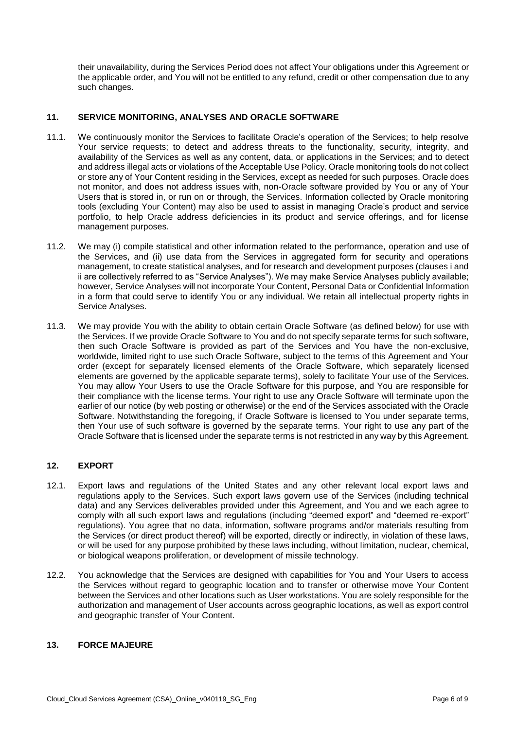their unavailability, during the Services Period does not affect Your obligations under this Agreement or the applicable order, and You will not be entitled to any refund, credit or other compensation due to any such changes.

## **11. SERVICE MONITORING, ANALYSES AND ORACLE SOFTWARE**

- 11.1. We continuously monitor the Services to facilitate Oracle's operation of the Services; to help resolve Your service requests; to detect and address threats to the functionality, security, integrity, and availability of the Services as well as any content, data, or applications in the Services; and to detect and address illegal acts or violations of the Acceptable Use Policy. Oracle monitoring tools do not collect or store any of Your Content residing in the Services, except as needed for such purposes. Oracle does not monitor, and does not address issues with, non-Oracle software provided by You or any of Your Users that is stored in, or run on or through, the Services. Information collected by Oracle monitoring tools (excluding Your Content) may also be used to assist in managing Oracle's product and service portfolio, to help Oracle address deficiencies in its product and service offerings, and for license management purposes.
- 11.2. We may (i) compile statistical and other information related to the performance, operation and use of the Services, and (ii) use data from the Services in aggregated form for security and operations management, to create statistical analyses, and for research and development purposes (clauses i and ii are collectively referred to as "Service Analyses"). We may make Service Analyses publicly available; however, Service Analyses will not incorporate Your Content, Personal Data or Confidential Information in a form that could serve to identify You or any individual. We retain all intellectual property rights in Service Analyses.
- 11.3. We may provide You with the ability to obtain certain Oracle Software (as defined below) for use with the Services. If we provide Oracle Software to You and do not specify separate terms for such software, then such Oracle Software is provided as part of the Services and You have the non-exclusive, worldwide, limited right to use such Oracle Software, subject to the terms of this Agreement and Your order (except for separately licensed elements of the Oracle Software, which separately licensed elements are governed by the applicable separate terms), solely to facilitate Your use of the Services. You may allow Your Users to use the Oracle Software for this purpose, and You are responsible for earlier of our notice (by web posting or otherwise) or the end of the Services associated with the Oracle Software. Notwithstanding the foregoing, if Oracle Software is licensed to You under separate terms, then Your use of such software is governed by the separate terms. Your right to use any part of the Oracle Software that is licensed under the separate terms is not restricted in any way by this Agreement. their compliance with the license terms. Your right to use any Oracle Software will terminate upon the

# **12. EXPORT**

- 12.1. Export laws and regulations of the United States and any other relevant local export laws and regulations apply to the Services. Such export laws govern use of the Services (including technical data) and any Services deliverables provided under this Agreement, and You and we each agree to comply with all such export laws and regulations (including "deemed export" and "deemed re-export" regulations). You agree that no data, information, software programs and/or materials resulting from or will be used for any purpose prohibited by these laws including, without limitation, nuclear, chemical, the Services (or direct product thereof) will be exported, directly or indirectly, in violation of these laws, or biological weapons proliferation, or development of missile technology.
- 12.2. You acknowledge that the Services are designed with capabilities for You and Your Users to access the Services without regard to geographic location and to transfer or otherwise move Your Content between the Services and other locations such as User workstations. You are solely responsible for the authorization and management of User accounts across geographic locations, as well as export control and geographic transfer of Your Content.

## **13. FORCE MAJEURE**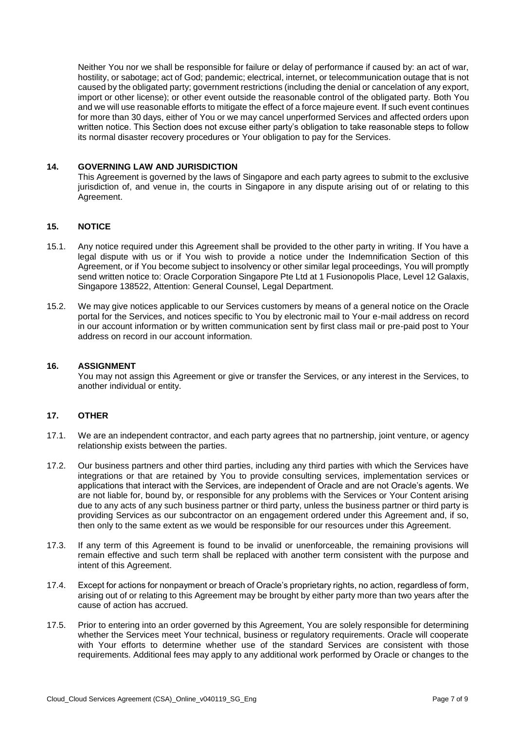Neither You nor we shall be responsible for failure or delay of performance if caused by: an act of war, hostility, or sabotage; act of God; pandemic; electrical, internet, or telecommunication outage that is not caused by the obligated party; government restrictions (including the denial or cancelation of any export, import or other license); or other event outside the reasonable control of the obligated party. Both You and we will use reasonable efforts to mitigate the effect of a force majeure event. If such event continues for more than 30 days, either of You or we may cancel unperformed Services and affected orders upon written notice. This Section does not excuse either party's obligation to take reasonable steps to follow its normal disaster recovery procedures or Your obligation to pay for the Services.

### **14. GOVERNING LAW AND JURISDICTION**

 This Agreement is governed by the laws of Singapore and each party agrees to submit to the exclusive jurisdiction of, and venue in, the courts in Singapore in any dispute arising out of or relating to this Agreement.

### **15. NOTICE**

- 15.1. Any notice required under this Agreement shall be provided to the other party in writing. If You have a legal dispute with us or if You wish to provide a notice under the Indemnification Section of this Agreement, or if You become subject to insolvency or other similar legal proceedings, You will promptly send written notice to: Oracle Corporation Singapore Pte Ltd at 1 Fusionopolis Place, Level 12 Galaxis, Singapore 138522, Attention: General Counsel, Legal Department.
- 15.2. We may give notices applicable to our Services customers by means of a general notice on the Oracle portal for the Services, and notices specific to You by electronic mail to Your e-mail address on record in our account information or by written communication sent by first class mail or pre-paid post to Your address on record in our account information.

#### **16. ASSIGNMENT**

 You may not assign this Agreement or give or transfer the Services, or any interest in the Services, to another individual or entity.

#### **17. OTHER**

- 17.1. We are an independent contractor, and each party agrees that no partnership, joint venture, or agency relationship exists between the parties.
- 17.2. Our business partners and other third parties, including any third parties with which the Services have integrations or that are retained by You to provide consulting services, implementation services or applications that interact with the Services, are independent of Oracle and are not Oracle's agents. We are not liable for, bound by, or responsible for any problems with the Services or Your Content arising due to any acts of any such business partner or third party, unless the business partner or third party is providing Services as our subcontractor on an engagement ordered under this Agreement and, if so, then only to the same extent as we would be responsible for our resources under this Agreement.
- 17.3. If any term of this Agreement is found to be invalid or unenforceable, the remaining provisions will remain effective and such term shall be replaced with another term consistent with the purpose and intent of this Agreement.
- 17.4. Except for actions for nonpayment or breach of Oracle's proprietary rights, no action, regardless of form, arising out of or relating to this Agreement may be brought by either party more than two years after the cause of action has accrued.
- 17.5. Prior to entering into an order governed by this Agreement, You are solely responsible for determining whether the Services meet Your technical, business or regulatory requirements. Oracle will cooperate with Your efforts to determine whether use of the standard Services are consistent with those requirements. Additional fees may apply to any additional work performed by Oracle or changes to the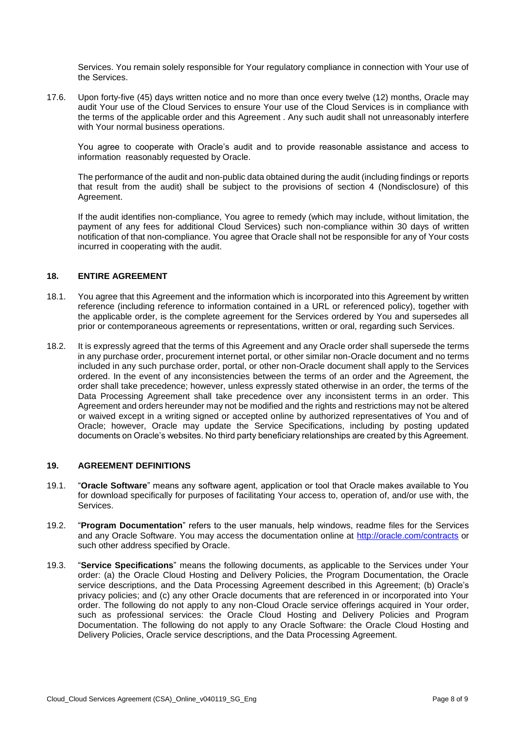Services. You remain solely responsible for Your regulatory compliance in connection with Your use of the Services.

 17.6. Upon forty-five (45) days written notice and no more than once every twelve (12) months, Oracle may audit Your use of the Cloud Services to ensure Your use of the Cloud Services is in compliance with the terms of the applicable order and this Agreement . Any such audit shall not unreasonably interfere with Your normal business operations.

You agree to cooperate with Oracle's audit and to provide reasonable assistance and access to information reasonably requested by Oracle.

 The performance of the audit and non-public data obtained during the audit (including findings or reports that result from the audit) shall be subject to the provisions of section 4 (Nondisclosure) of this Agreement.

 If the audit identifies non-compliance, You agree to remedy (which may include, without limitation, the payment of any fees for additional Cloud Services) such non-compliance within 30 days of written notification of that non-compliance. You agree that Oracle shall not be responsible for any of Your costs incurred in cooperating with the audit.

## **18. ENTIRE AGREEMENT**

- 18.1. You agree that this Agreement and the information which is incorporated into this Agreement by written the applicable order, is the complete agreement for the Services ordered by You and supersedes all reference (including reference to information contained in a URL or referenced policy), together with prior or contemporaneous agreements or representations, written or oral, regarding such Services.
- 18.2. It is expressly agreed that the terms of this Agreement and any Oracle order shall supersede the terms in any purchase order, procurement internet portal, or other similar non-Oracle document and no terms included in any such purchase order, portal, or other non-Oracle document shall apply to the Services ordered. In the event of any inconsistencies between the terms of an order and the Agreement, the order shall take precedence; however, unless expressly stated otherwise in an order, the terms of the Data Processing Agreement shall take precedence over any inconsistent terms in an order. This Agreement and orders hereunder may not be modified and the rights and restrictions may not be altered or waived except in a writing signed or accepted online by authorized representatives of You and of Oracle; however, Oracle may update the Service Specifications, including by posting updated documents on Oracle's websites. No third party beneficiary relationships are created by this Agreement.

## **19. AGREEMENT DEFINITIONS**

- 19.1. "**Oracle Software**" means any software agent, application or tool that Oracle makes available to You for download specifically for purposes of facilitating Your access to, operation of, and/or use with, the Services.
- 19.2. "**Program Documentation**" refers to the user manuals, help windows, readme files for the Services and any Oracle Software. You may access the documentation online at<http://oracle.com/contracts>or such other address specified by Oracle.
- 19.3. "**Service Specifications**" means the following documents, as applicable to the Services under Your order: (a) the Oracle Cloud Hosting and Delivery Policies, the Program Documentation, the Oracle privacy policies; and (c) any other Oracle documents that are referenced in or incorporated into Your order. The following do not apply to any non-Cloud Oracle service offerings acquired in Your order, such as professional services: the Oracle Cloud Hosting and Delivery Policies and Program Documentation. The following do not apply to any Oracle Software: the Oracle Cloud Hosting and Delivery Policies, Oracle service descriptions, and the Data Processing Agreement. service descriptions, and the Data Processing Agreement described in this Agreement; (b) Oracle's